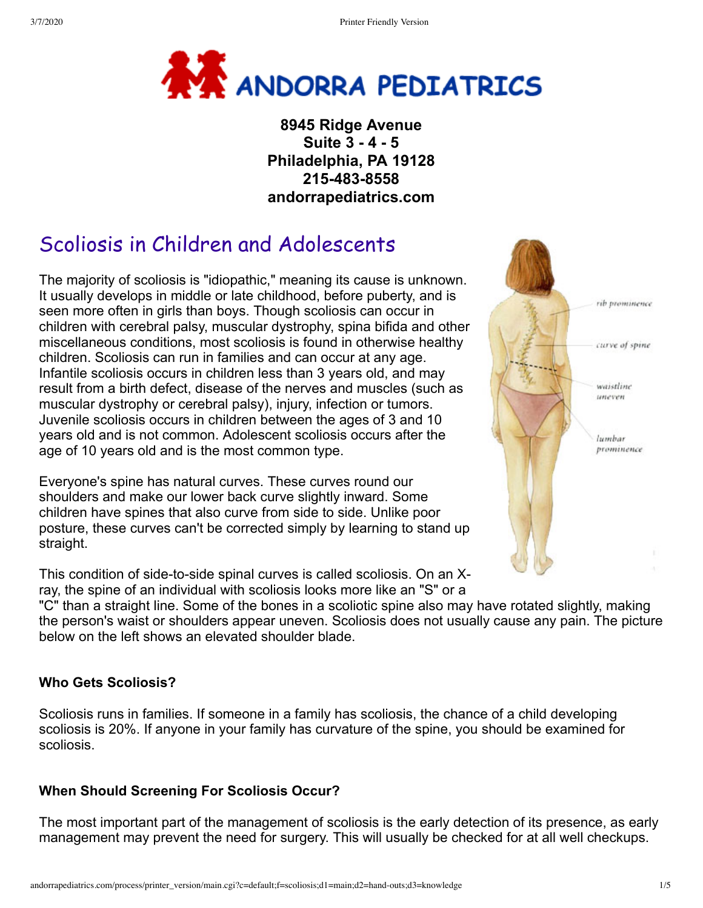

**8945 Ridge Avenue Suite 3 - 4 - 5 Philadelphia, PA 19128 215-483-8558 andorrapediatrics.com**

# Scoliosis in Children and Adolescents

The majority of scoliosis is "idiopathic," meaning its cause is unknown. It usually develops in middle or late childhood, before puberty, and is seen more often in girls than boys. Though scoliosis can occur in children with cerebral palsy, muscular dystrophy, spina bifida and other miscellaneous conditions, most scoliosis is found in otherwise healthy children. Scoliosis can run in families and can occur at any age. Infantile scoliosis occurs in children less than 3 years old, and may result from a birth defect, disease of the nerves and muscles (such as muscular dystrophy or cerebral palsy), injury, infection or tumors. Juvenile scoliosis occurs in children between the ages of 3 and 10 years old and is not common. Adolescent scoliosis occurs after the age of 10 years old and is the most common type.

Everyone's spine has natural curves. These curves round our shoulders and make our lower back curve slightly inward. Some children have spines that also curve from side to side. Unlike poor posture, these curves can't be corrected simply by learning to stand up straight.



This condition of side-to-side spinal curves is called scoliosis. On an Xray, the spine of an individual with scoliosis looks more like an "S" or a

"C" than a straight line. Some of the bones in a scoliotic spine also may have rotated slightly, making the person's waist or shoulders appear uneven. Scoliosis does not usually cause any pain. The picture below on the left shows an elevated shoulder blade.

#### **Who Gets Scoliosis?**

Scoliosis runs in families. If someone in a family has scoliosis, the chance of a child developing scoliosis is 20%. If anyone in your family has curvature of the spine, you should be examined for scoliosis.

#### **When Should Screening For Scoliosis Occur?**

The most important part of the management of scoliosis is the early detection of its presence, as early management may prevent the need for surgery. This will usually be checked for at all well checkups.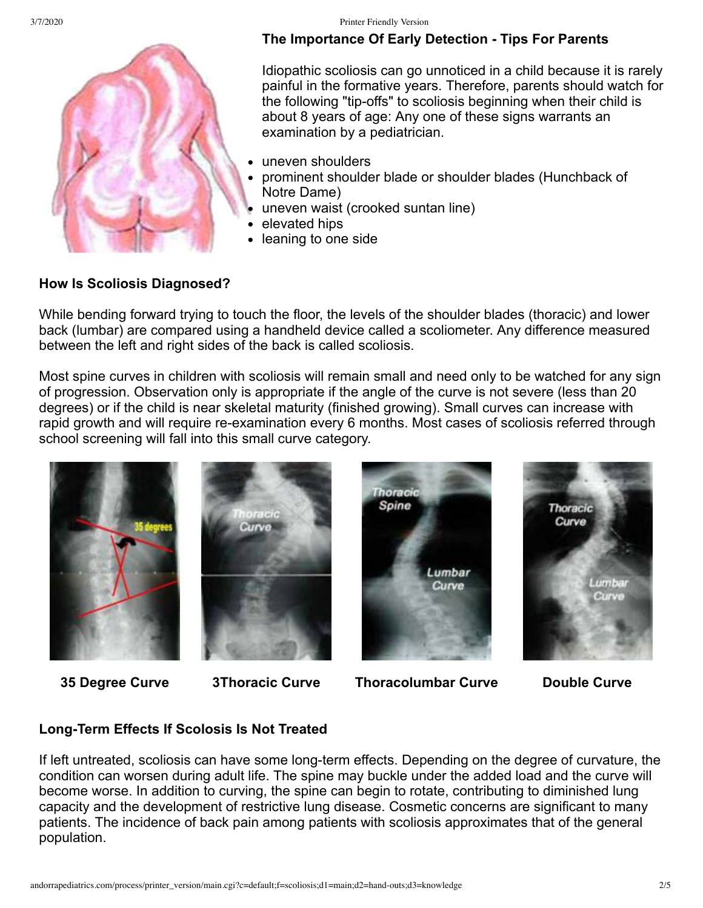

3/7/2020 Printer Friendly Version

#### **The Importance Of Early Detection - Tips For Parents**

Idiopathic scoliosis can go unnoticed in a child because it is rarely painful in the formative years. Therefore, parents should watch for the following "tip-offs" to scoliosis beginning when their child is about 8 years of age: Any one of these signs warrants an examination by a pediatrician.

- uneven shoulders
- prominent shoulder blade or shoulder blades (Hunchback of Notre Dame)
- uneven waist (crooked suntan line)
- elevated hips
- leaning to one side

# **How Is Scoliosis Diagnosed?**

While bending forward trying to touch the floor, the levels of the shoulder blades (thoracic) and lower back (lumbar) are compared using a handheld device called a scoliometer. Any difference measured between the left and right sides of the back is called scoliosis.

Most spine curves in children with scoliosis will remain small and need only to be watched for any sign of progression. Observation only is appropriate if the angle of the curve is not severe (less than 20 degrees) or if the child is near skeletal maturity (finished growing). Small curves can increase with rapid growth and will require re-examination every 6 months. Most cases of scoliosis referred through school screening will fall into this small curve category.









**35 Degree Curve 3Thoracic Curve Thoracolumbar Curve Double Curve**

# **Long-Term Effects If Scolosis Is Not Treated**

If left untreated, scoliosis can have some long-term effects. Depending on the degree of curvature, the condition can worsen during adult life. The spine may buckle under the added load and the curve will become worse. In addition to curving, the spine can begin to rotate, contributing to diminished lung capacity and the development of restrictive lung disease. Cosmetic concerns are significant to many patients. The incidence of back pain among patients with scoliosis approximates that of the general population.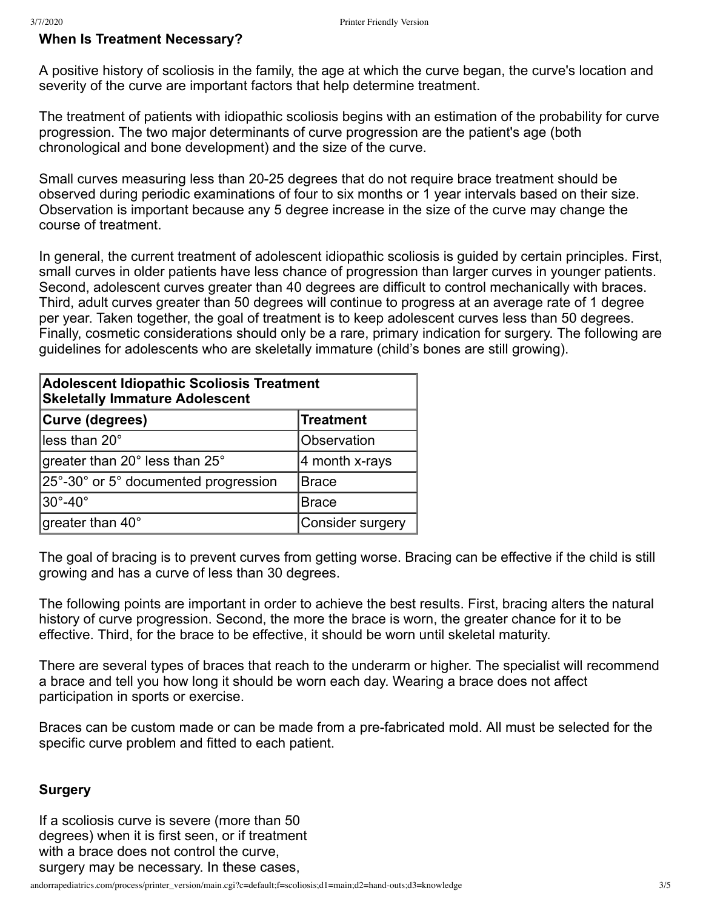# **When Is Treatment Necessary?**

A positive history of scoliosis in the family, the age at which the curve began, the curve's location and severity of the curve are important factors that help determine treatment.

The treatment of patients with idiopathic scoliosis begins with an estimation of the probability for curve progression. The two major determinants of curve progression are the patient's age (both chronological and bone development) and the size of the curve.

Small curves measuring less than 20-25 degrees that do not require brace treatment should be observed during periodic examinations of four to six months or 1 year intervals based on their size. Observation is important because any 5 degree increase in the size of the curve may change the course of treatment.

In general, the current treatment of adolescent idiopathic scoliosis is guided by certain principles. First, small curves in older patients have less chance of progression than larger curves in younger patients. Second, adolescent curves greater than 40 degrees are difficult to control mechanically with braces. Third, adult curves greater than 50 degrees will continue to progress at an average rate of 1 degree per year. Taken together, the goal of treatment is to keep adolescent curves less than 50 degrees. Finally, cosmetic considerations should only be a rare, primary indication for surgery. The following are guidelines for adolescents who are skeletally immature (child's bones are still growing).

| Adolescent Idiopathic Scoliosis Treatment<br><b>Skeletally Immature Adolescent</b> |                  |
|------------------------------------------------------------------------------------|------------------|
| Curve (degrees)                                                                    | Treatment        |
| lless than 20°                                                                     | Observation      |
| greater than 20 $^{\circ}$ less than 25 $^{\circ}$                                 | 4 month x-rays   |
| $ 25^{\circ}$ -30 $^{\circ}$ or 5 $^{\circ}$ documented progression                | <b>Brace</b>     |
| ∣30°-40°                                                                           | <b>Brace</b>     |
| greater than $40^{\circ}$                                                          | Consider surgery |

The goal of bracing is to prevent curves from getting worse. Bracing can be effective if the child is still growing and has a curve of less than 30 degrees.

The following points are important in order to achieve the best results. First, bracing alters the natural history of curve progression. Second, the more the brace is worn, the greater chance for it to be effective. Third, for the brace to be effective, it should be worn until skeletal maturity.

There are several types of braces that reach to the underarm or higher. The specialist will recommend a brace and tell you how long it should be worn each day. Wearing a brace does not affect participation in sports or exercise.

Braces can be custom made or can be made from a pre-fabricated mold. All must be selected for the specific curve problem and fitted to each patient.

# **Surgery**

If a scoliosis curve is severe (more than 50 degrees) when it is first seen, or if treatment with a brace does not control the curve, surgery may be necessary. In these cases,

andorrapediatrics.com/process/printer\_version/main.cgi?c=default;f=scoliosis;d1=main;d2=hand-outs;d3=knowledge 3/5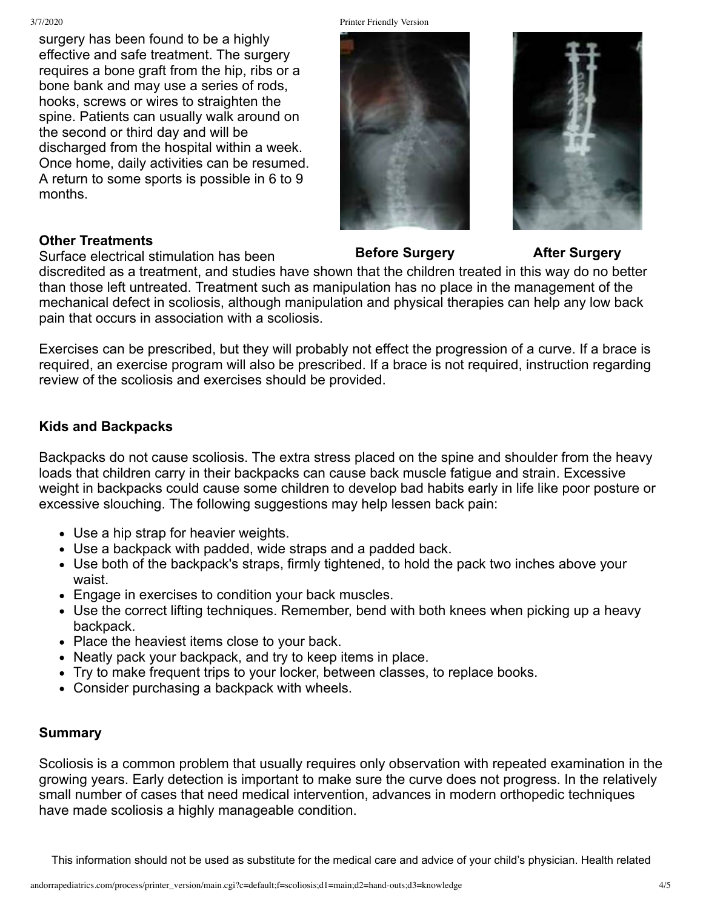surgery has been found to be a highly effective and safe treatment. The surgery requires a bone graft from the hip, ribs or a bone bank and may use a series of rods, hooks, screws or wires to straighten the spine. Patients can usually walk around on the second or third day and will be discharged from the hospital within a week. Once home, daily activities can be resumed. A return to some sports is possible in 6 to 9 months.

### **Other Treatments**

Surface electrical stimulation has been

3/7/2020 Printer Friendly Version





**Before Surgery After Surgery**

discredited as a treatment, and studies have shown that the children treated in this way do no better than those left untreated. Treatment such as manipulation has no place in the management of the mechanical defect in scoliosis, although manipulation and physical therapies can help any low back pain that occurs in association with a scoliosis.

Exercises can be prescribed, but they will probably not effect the progression of a curve. If a brace is required, an exercise program will also be prescribed. If a brace is not required, instruction regarding review of the scoliosis and exercises should be provided.

# **Kids and Backpacks**

Backpacks do not cause scoliosis. The extra stress placed on the spine and shoulder from the heavy loads that children carry in their backpacks can cause back muscle fatigue and strain. Excessive weight in backpacks could cause some children to develop bad habits early in life like poor posture or excessive slouching. The following suggestions may help lessen back pain:

- Use a hip strap for heavier weights.
- Use a backpack with padded, wide straps and a padded back.
- Use both of the backpack's straps, firmly tightened, to hold the pack two inches above your waist.
- Engage in exercises to condition your back muscles.
- Use the correct lifting techniques. Remember, bend with both knees when picking up a heavy backpack.
- Place the heaviest items close to your back.
- Neatly pack your backpack, and try to keep items in place.
- Try to make frequent trips to your locker, between classes, to replace books.
- Consider purchasing a backpack with wheels.

# **Summary**

Scoliosis is a common problem that usually requires only observation with repeated examination in the growing years. Early detection is important to make sure the curve does not progress. In the relatively small number of cases that need medical intervention, advances in modern orthopedic techniques have made scoliosis a highly manageable condition.

This information should not be used as substitute for the medical care and advice of your child's physician. Health related